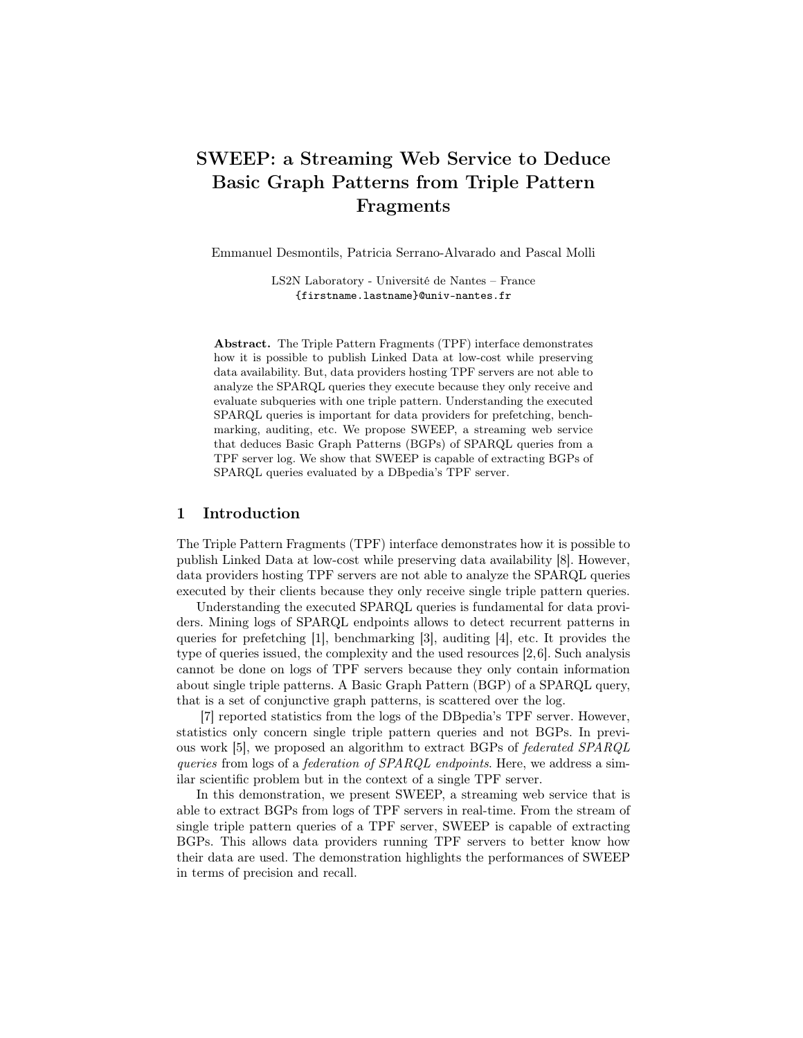# SWEEP: a Streaming Web Service to Deduce Basic Graph Patterns from Triple Pattern Fragments

Emmanuel Desmontils, Patricia Serrano-Alvarado and Pascal Molli

LS2N Laboratory - Université de Nantes – France {firstname.lastname}@univ-nantes.fr

Abstract. The Triple Pattern Fragments (TPF) interface demonstrates how it is possible to publish Linked Data at low-cost while preserving data availability. But, data providers hosting TPF servers are not able to analyze the SPARQL queries they execute because they only receive and evaluate subqueries with one triple pattern. Understanding the executed SPARQL queries is important for data providers for prefetching, benchmarking, auditing, etc. We propose SWEEP, a streaming web service that deduces Basic Graph Patterns (BGPs) of SPARQL queries from a TPF server log. We show that SWEEP is capable of extracting BGPs of SPARQL queries evaluated by a DBpedia's TPF server.

#### 1 Introduction

The Triple Pattern Fragments (TPF) interface demonstrates how it is possible to publish Linked Data at low-cost while preserving data availability [\[8\]](#page-3-0). However, data providers hosting TPF servers are not able to analyze the SPARQL queries executed by their clients because they only receive single triple pattern queries.

Understanding the executed SPARQL queries is fundamental for data providers. Mining logs of SPARQL endpoints allows to detect recurrent patterns in queries for prefetching [\[1\]](#page-3-1), benchmarking [\[3\]](#page-3-2), auditing [\[4\]](#page-3-3), etc. It provides the type of queries issued, the complexity and the used resources [\[2,](#page-3-4)[6\]](#page-3-5). Such analysis cannot be done on logs of TPF servers because they only contain information about single triple patterns. A Basic Graph Pattern (BGP) of a SPARQL query, that is a set of conjunctive graph patterns, is scattered over the log.

[\[7\]](#page-3-6) reported statistics from the logs of the DBpedia's TPF server. However, statistics only concern single triple pattern queries and not BGPs. In previous work [\[5\]](#page-3-7), we proposed an algorithm to extract BGPs of *federated SPARQL queries* from logs of a *federation of SPARQL endpoints*. Here, we address a similar scientific problem but in the context of a single TPF server.

In this demonstration, we present SWEEP, a streaming web service that is able to extract BGPs from logs of TPF servers in real-time. From the stream of single triple pattern queries of a TPF server, SWEEP is capable of extracting BGPs. This allows data providers running TPF servers to better know how their data are used. The demonstration highlights the performances of SWEEP in terms of precision and recall.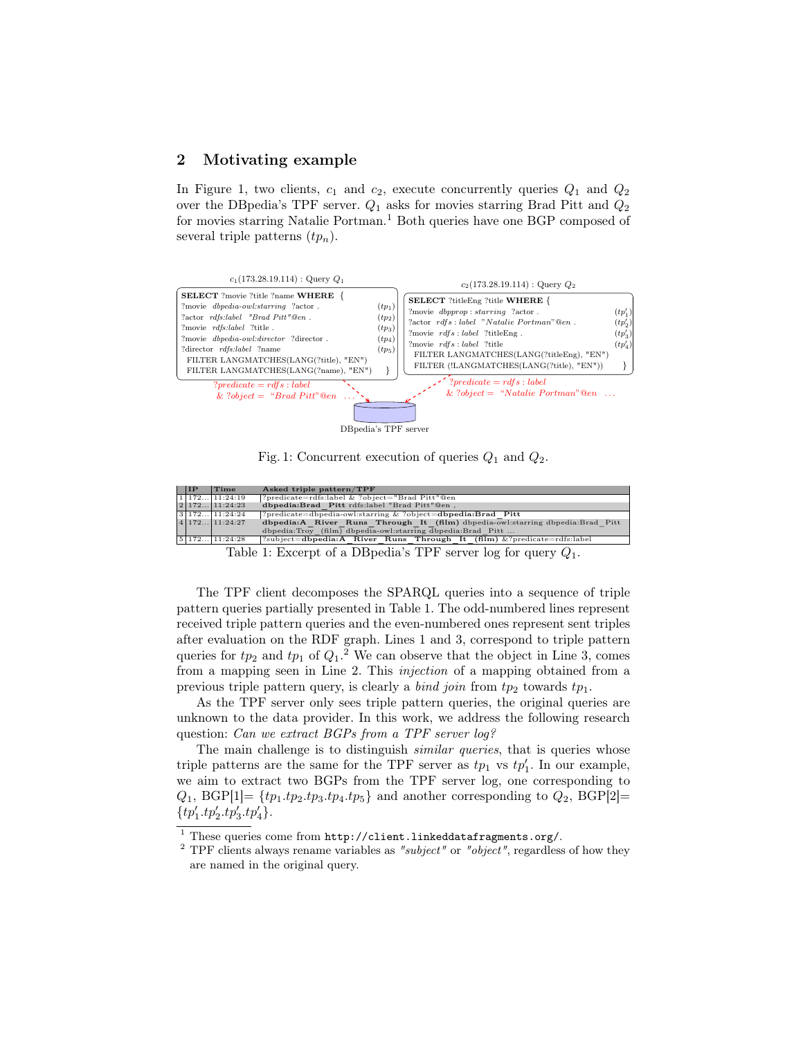### 2 Motivating example

In Figure [1,](#page-1-0) two clients,  $c_1$  and  $c_2$ , execute concurrently queries  $Q_1$  and  $Q_2$ over the DBpedia's TPF server. *Q*<sup>1</sup> asks for movies starring Brad Pitt and *Q*<sup>2</sup> for movies starring Natalie Portman.<sup>[1](#page-1-1)</sup> Both queries have one BGP composed of several triple patterns  $(tp_n)$ .

<span id="page-1-0"></span>

Fig. 1: Concurrent execution of queries *Q*<sup>1</sup> and *Q*2.

<span id="page-1-2"></span>

| $\blacksquare$ | Time                       | $ {\rm Asked\;triple\;pattern/TPF} $                                                                                                                 |  |  |  |
|----------------|----------------------------|------------------------------------------------------------------------------------------------------------------------------------------------------|--|--|--|
|                | 11172111:24:19             | ?predicate=rdfs:label & ?object="Brad Pitt"@en                                                                                                       |  |  |  |
|                | $2 \mid 172 \mid 11:24:23$ | dbpedia:Brad Pitt rdfs:label "Brad Pitt"@en,                                                                                                         |  |  |  |
|                | $3 \mid 172 \mid 11:24:24$ | ?predicate=dbpedia-owl:starring & ?object=dbpedia:Brad Pitt                                                                                          |  |  |  |
|                | 1172 11:24:27              | dbpedia:A River Runs Through It (film) dbpedia-owl:starring dbpedia:Brad Pitt<br>dbpedia:Troy $(\text{film})$ dbpedia-owl:starring dbpedia:Brad Pitt |  |  |  |
|                | $5 \mid 172 \mid 11:24:28$ | [?subject=dbpedia:A River Runs Through It (film) &?predicate=rdfs:label                                                                              |  |  |  |

Table 1: Excerpt of a DBpedia's TPF server log for query *Q*1.

The TPF client decomposes the SPARQL queries into a sequence of triple pattern queries partially presented in Table [1.](#page-1-2) The odd-numbered lines represent received triple pattern queries and the even-numbered ones represent sent triples after evaluation on the RDF graph. Lines 1 and 3, correspond to triple pattern queries for  $tp_2$  $tp_2$  and  $tp_1$  of  $Q_1$ .<sup>2</sup> We can observe that the object in Line 3, comes from a mapping seen in Line 2. This *injection* of a mapping obtained from a previous triple pattern query, is clearly a *bind join* from *tp*<sup>2</sup> towards *tp*1.

As the TPF server only sees triple pattern queries, the original queries are unknown to the data provider. In this work, we address the following research question: *Can we extract BGPs from a TPF server log?*

The main challenge is to distinguish *similar queries*, that is queries whose triple patterns are the same for the TPF server as  $tp_1$  vs  $tp'_1$ . In our example, we aim to extract two BGPs from the TPF server log, one corresponding to  $Q_1$ , BGP[1]=  $\{tp_1.tp_2.tp_3.tp_4.tp_5\}$  and another corresponding to  $Q_2$ , BGP[2]=  $\{tp'_1.tp'_2.tp'_3.tp'_4\}.$ 

<span id="page-1-1"></span> $^{\rm 1}$  These queries come from  ${\tt http://client.linkeddatafragments.org/}.$  ${\tt http://client.linkeddatafragments.org/}.$  ${\tt http://client.linkeddatafragments.org/}.$ 

<span id="page-1-3"></span><sup>2</sup> TPF clients always rename variables as *"subject"* or *"object"*, regardless of how they are named in the original query.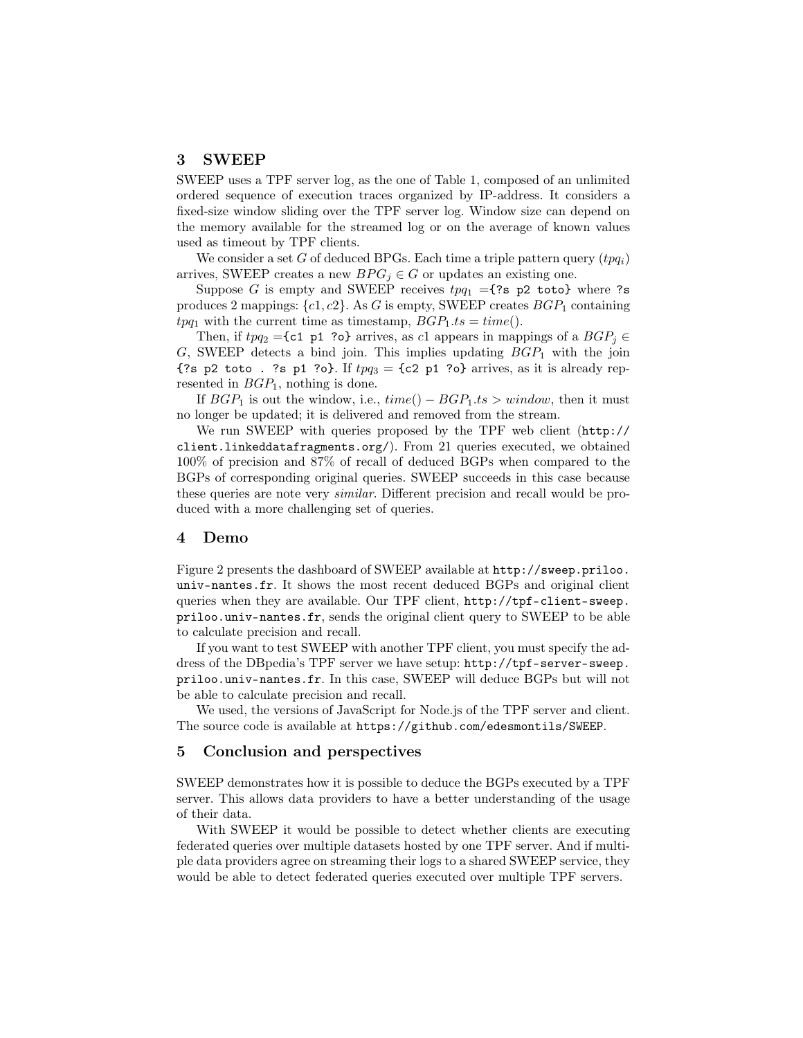### 3 SWEEP

SWEEP uses a TPF server log, as the one of Table [1,](#page-1-2) composed of an unlimited ordered sequence of execution traces organized by IP-address. It considers a fixed-size window sliding over the TPF server log. Window size can depend on the memory available for the streamed log or on the average of known values used as timeout by TPF clients.

We consider a set *G* of deduced BPGs. Each time a triple pattern query  $(tpq_i)$ arrives, SWEEP creates a new  $BPG<sub>j</sub> \in G$  or updates an existing one.

Suppose *G* is empty and SWEEP receives  $tpq_1 = \{?s \text{ p2} \text{ toto}\}\$  where ?s produces 2 mappings:  $\{c1, c2\}$ . As *G* is empty, SWEEP creates  $BGP_1$  containing  $tpq_1$  with the current time as timestamp,  $BGP_1.ts = time()$ .

Then, if  $tpq_2 = \{c1 \text{ p1 } ? \text{ o}\}\$  arrives, as *c*1 appears in mappings of a  $BGP_j \in$ *G*, SWEEP detects a bind join. This implies updating *BGP*<sup>1</sup> with the join  $\{?s\ p2 \text{ toto . }?s\ p1\ ?o\}.$  If  $tpq_3 = \{c2 \ p1 \ ?o\}$  arrives, as it is already represented in *BGP*1, nothing is done.

If  $BGP_1$  is out the window, i.e.,  $time() - BGP_1.ts > window$ , then it must no longer be updated; it is delivered and removed from the stream.

We run SWEEP with queries proposed by the TPF web client ([http://](http://client.linkeddatafragments.org/) [client.linkeddatafragments.org/](http://client.linkeddatafragments.org/)). From 21 queries executed, we obtained 100% of precision and 87% of recall of deduced BGPs when compared to the BGPs of corresponding original queries. SWEEP succeeds in this case because these queries are note very *similar*. Different precision and recall would be produced with a more challenging set of queries.

#### 4 Demo

Figure [2](#page-3-8) presents the dashboard of SWEEP available at [http://sweep.priloo.](http://sweep.priloo.univ-nantes.fr) [univ-nantes.fr](http://sweep.priloo.univ-nantes.fr). It shows the most recent deduced BGPs and original client queries when they are available. Our TPF client, [http://tpf-client-sweep.](http://tpf-client-sweep.priloo.univ-nantes.fr) [priloo.univ-nantes.fr](http://tpf-client-sweep.priloo.univ-nantes.fr), sends the original client query to SWEEP to be able to calculate precision and recall.

If you want to test SWEEP with another TPF client, you must specify the address of the DBpedia's TPF server we have setup: [http://tpf-server-sweep.](http://tpf-server-sweep.priloo.univ-nantes.fr) [priloo.univ-nantes.fr](http://tpf-server-sweep.priloo.univ-nantes.fr). In this case, SWEEP will deduce BGPs but will not be able to calculate precision and recall.

We used, the versions of JavaScript for Node.js of the TPF server and client. The source code is available at <https://github.com/edesmontils/SWEEP>.

## 5 Conclusion and perspectives

SWEEP demonstrates how it is possible to deduce the BGPs executed by a TPF server. This allows data providers to have a better understanding of the usage of their data.

With SWEEP it would be possible to detect whether clients are executing federated queries over multiple datasets hosted by one TPF server. And if multiple data providers agree on streaming their logs to a shared SWEEP service, they would be able to detect federated queries executed over multiple TPF servers.